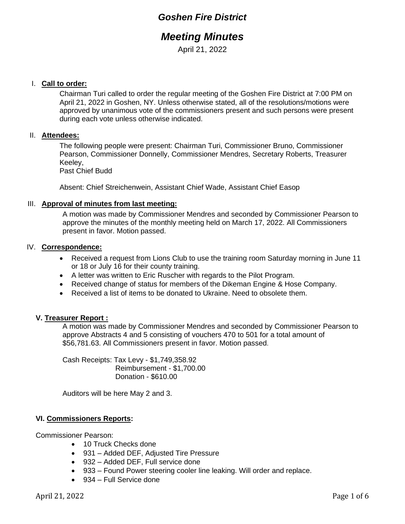## *Goshen Fire District*

# *Meeting Minutes*

April 21, 2022

### I. **Call to order:**

Chairman Turi called to order the regular meeting of the Goshen Fire District at 7:00 PM on April 21, 2022 in Goshen, NY. Unless otherwise stated, all of the resolutions/motions were approved by unanimous vote of the commissioners present and such persons were present during each vote unless otherwise indicated.

#### II. **Attendees:**

The following people were present: Chairman Turi, Commissioner Bruno, Commissioner Pearson, Commissioner Donnelly, Commissioner Mendres, Secretary Roberts, Treasurer Keeley,

Past Chief Budd

Absent: Chief Streichenwein, Assistant Chief Wade, Assistant Chief Easop

#### III. **Approval of minutes from last meeting:**

A motion was made by Commissioner Mendres and seconded by Commissioner Pearson to approve the minutes of the monthly meeting held on March 17, 2022. All Commissioners present in favor. Motion passed.

#### IV. **Correspondence:**

- Received a request from Lions Club to use the training room Saturday morning in June 11 or 18 or July 16 for their county training.
- A letter was written to Eric Ruscher with regards to the Pilot Program.
- Received change of status for members of the Dikeman Engine & Hose Company.
- Received a list of items to be donated to Ukraine. Need to obsolete them.

#### **V. Treasurer Report :**

A motion was made by Commissioner Mendres and seconded by Commissioner Pearson to approve Abstracts 4 and 5 consisting of vouchers 470 to 501 for a total amount of \$56,781.63. All Commissioners present in favor. Motion passed.

Cash Receipts: Tax Levy - \$1,749,358.92 Reimbursement - \$1,700.00 Donation - \$610.00

Auditors will be here May 2 and 3.

#### **VI. Commissioners Reports:**

Commissioner Pearson:

- 10 Truck Checks done
- 931 Added DEF, Adjusted Tire Pressure
- 932 Added DEF, Full service done
- 933 Found Power steering cooler line leaking. Will order and replace.
- 934 Full Service done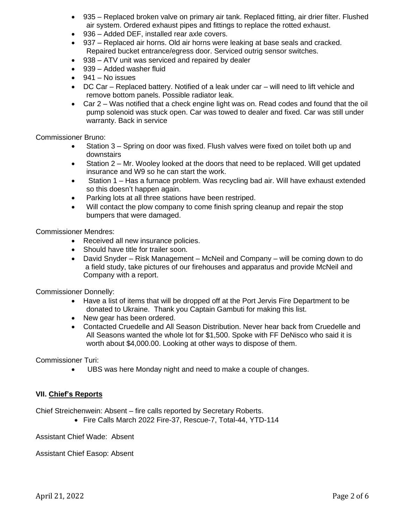- 935 Replaced broken valve on primary air tank. Replaced fitting, air drier filter. Flushed air system. Ordered exhaust pipes and fittings to replace the rotted exhaust.
- 936 Added DEF, installed rear axle covers.
- 937 Replaced air horns. Old air horns were leaking at base seals and cracked. Repaired bucket entrance/egress door. Serviced outrig sensor switches.
- 938 ATV unit was serviced and repaired by dealer
- 939 Added washer fluid
- $\bullet$  941 No issues
- DC Car Replaced battery. Notified of a leak under car will need to lift vehicle and remove bottom panels. Possible radiator leak.
- Car 2 Was notified that a check engine light was on. Read codes and found that the oil pump solenoid was stuck open. Car was towed to dealer and fixed. Car was still under warranty. Back in service

Commissioner Bruno:

- Station 3 Spring on door was fixed. Flush valves were fixed on toilet both up and downstairs
- Station 2 Mr. Wooley looked at the doors that need to be replaced. Will get updated insurance and W9 so he can start the work.
- Station 1 Has a furnace problem. Was recycling bad air. Will have exhaust extended so this doesn't happen again.
- Parking lots at all three stations have been restriped.
- Will contact the plow company to come finish spring cleanup and repair the stop bumpers that were damaged.

Commissioner Mendres:

- Received all new insurance policies.
- Should have title for trailer soon.
- David Snyder Risk Management McNeil and Company will be coming down to do a field study, take pictures of our firehouses and apparatus and provide McNeil and Company with a report.

Commissioner Donnelly:

- Have a list of items that will be dropped off at the Port Jervis Fire Department to be donated to Ukraine. Thank you Captain Gambuti for making this list.
- New gear has been ordered.
- Contacted Cruedelle and All Season Distribution. Never hear back from Cruedelle and All Seasons wanted the whole lot for \$1,500. Spoke with FF DeNisco who said it is worth about \$4,000.00. Looking at other ways to dispose of them.

Commissioner Turi:

• UBS was here Monday night and need to make a couple of changes.

#### **VII. Chief's Reports**

Chief Streichenwein: Absent – fire calls reported by Secretary Roberts.

• Fire Calls March 2022 Fire-37, Rescue-7, Total-44, YTD-114

Assistant Chief Wade: Absent

Assistant Chief Easop: Absent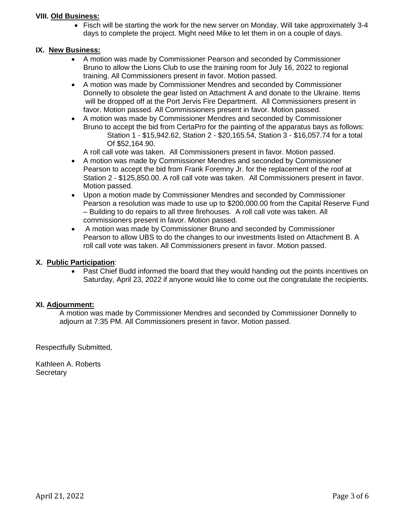#### **VIII. Old Business:**

• Fisch will be starting the work for the new server on Monday. Will take approximately 3-4 days to complete the project. Might need Mike to let them in on a couple of days.

#### **IX. New Business:**

- A motion was made by Commissioner Pearson and seconded by Commissioner Bruno to allow the Lions Club to use the training room for July 16, 2022 to regional training. All Commissioners present in favor. Motion passed.
- A motion was made by Commissioner Mendres and seconded by Commissioner Donnelly to obsolete the gear listed on Attachment A and donate to the Ukraine. Items will be dropped off at the Port Jervis Fire Department. All Commissioners present in favor. Motion passed. All Commissioners present in favor. Motion passed.
- A motion was made by Commissioner Mendres and seconded by Commissioner Bruno to accept the bid from CertaPro for the painting of the apparatus bays as follows: Station 1 - \$15,942.62, Station 2 - \$20,165.54, Station 3 - \$16,057.74 for a total Of \$52,164.90.
	- A roll call vote was taken. All Commissioners present in favor. Motion passed.
- A motion was made by Commissioner Mendres and seconded by Commissioner Pearson to accept the bid from Frank Foremny Jr. for the replacement of the roof at Station 2 - \$125,850.00. A roll call vote was taken. All Commissioners present in favor. Motion passed.
- Upon a motion made by Commissioner Mendres and seconded by Commissioner Pearson a resolution was made to use up to \$200,000.00 from the Capital Reserve Fund – Building to do repairs to all three firehouses. A roll call vote was taken. All commissioners present in favor. Motion passed.
- A motion was made by Commissioner Bruno and seconded by Commissioner Pearson to allow UBS to do the changes to our investments listed on Attachment B. A roll call vote was taken. All Commissioners present in favor. Motion passed.

#### **X. Public Participation**:

• Past Chief Budd informed the board that they would handing out the points incentives on Saturday, April 23, 2022 if anyone would like to come out the congratulate the recipients.

#### **XI. Adjournment:**

A motion was made by Commissioner Mendres and seconded by Commissioner Donnelly to adjourn at 7:35 PM. All Commissioners present in favor. Motion passed.

Respectfully Submitted,

Kathleen A. Roberts **Secretary**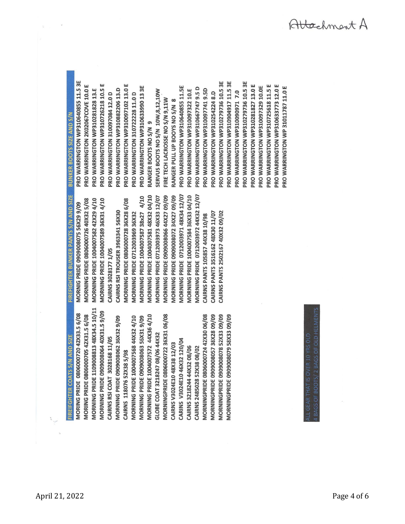**MORNING PRIDE 1109008813 48X34.5 10/11** MORNING PRIDE 0909008064 40X31.59/09 MORNINGPRIDE 0806000722 36X31 06/08 MORNING PRIDE 1004007568 44X32 4/10 MORNING PRIDE 1004007572 44X36 4/10 MORNINGPRIDE 0806000724 42X30 06/08 MORNINGPRIDE 0909008078 52X33 09/09 MORNING PRIDE 0909008062 36X32 9/09 **MORNINGPRIDE 0909008057 38X28 09/09** MORNING PRIDE 0909008063 56X31 9/09 **MORNINGPRIDE 0909008079 58X33 09/09** GLOBE COAT 3218247 08/06 44X32 CAIRNS RSI COAT 3028168 11/05 CARINS V3024E10 46X32 120/04 CAIRNS V3024E10 48X38 12/03 CAIRNS 3218244 44X32 08/06 CAIRNS 2485028 52X38 08/02 CAIRNS 118076 52X38 5/98

FIREFIGHTER BUNKER PANTS S/N AND SIZE MORNING PRIDE 1004007589 36X31 4/10 MORNING PRIDE 1004007582 42X29 4/10 MORNING PRIDE 0806000726 40X32 5/08 MORNIG PRIDE 0909008075 56X29 9/09 CAIRNS RSI TROUSER 3963341 56X30 CAIRNS 3028177 1/05

MORNING PRIDE 0712003971 48X34 12/07 **MORNING PRIDE 0712003972 44X32 12/07** MORNING PRIDE 1004007581 48X32 04/10 **MORNING PRIDE 1004007584 36X33 04/10 MORNING PRIDE 0712003973 46X33 12/07** MORNING PRIDE 0909008066 44X27 09/09 MORNING PRIDE 0909008072 34X27 09/09 MORNING PRIDE 1004007587 38x27 4/10 MORNING PRIDE 0806000728 36X28 6/08 **MORNING PRIDE 0712003969 36X32** CAIRNS PANTS 2502167 40X32 09/02 CAIRNS PANTS 3516162 48X30 11/07 CAIRNS PANTS 105857 44X38 10/98

PRO WARRINGTON WP310640855 11.5 3E PRO WARRINGTON WP310279736 10.5 3E PRO WARRINGTON WP310904917 11.5 3E PRO WARRINGTON WP310279736 10.5 3E PRO WARRINGTON WP310726218 10.5 E PRO WARRINGTON 2K02067COVE 10.0 E PRO WARRINGTON WP310097102 13.0 E PRO WARRINGTON WP310281827 13.0 E PRO WARRINGTON WP310725618 11.5 E PRO WARRINGTON WP310633773 12.0 E PRO WARRINGTON WP310640855 11.5E PRO WARRINGTON WP310097329 10.0E PRO WARRINGTON WP310633990133E PRO WARRINGTON WP310667747 9.5 D PRO WARRINGTON WP310882206 13.D PRO WARRINGTON WP310097741 9.5D PRO WARRINGTON WP310281828 13.E PRO WARRINGTON WP310097322 10.E SERVUS BOOTS NO S/N 10W, 8,12,10W PRO WARRINGTON WP310090971 7.0 PRO WARRINGTON WP310254224 8.D PRO WARRINGTON 310097084 12.0 D PRO WARRINGTON 310722228 11.0 D RANGER PULL UP BOOYS NO S/N 8 FIRE TECH LACROSSE NO S/N 9,11W **BUNKER BOOTS SIZE AND S/N** RANGER BOOTS NO S/N 9

> 10 YRS OLD HAT IS OVER

MORING PRIDE 0806000720 42X33.5 6/08 MORING PRIDE 0806000705 42X31.5 6/08

**REIFGHTER COATS S/N AND SIZE** 

PRO WARRINGTON WP 31011787 11.0 E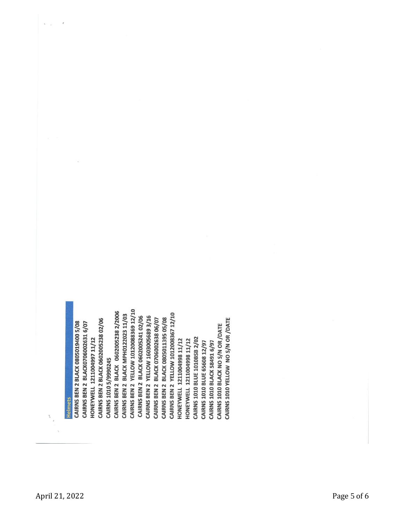CAIRNS BEN 2 YELLOW 10120088369 12/10 CAIRNS BEN 2 BLACK 0602005238 2/2006 CAIRNS BEN 2 YELLOW 1012008367 12/10 CAIRNS BEN 2 BLACK MPH0122023 11/03 CAIRNS BEN 2 BLACK 0602005241 02/06 CAIRNS BEN 2 YELLOW 1603005689 3/16 CAIRNS BEN 2 BLACK 0805011395 05/08 CAIRNS 1010 YELLOW NO S/N OR /DATE CAIRNS BEN 2 BLACK 0602005238 02/06 **CAIRNS BEN 2 BLACK 0706002638 06/07** CAIRNS BEN 2 BLACK 0805019400 5/08 CAIRNS BEN 2 BLACK0706002631 6/07 CAIRNS 1010 BLACK NO S/N OR /DATE CAIRNS 1010 BLUE 1010BSB 2/02 HONEYWELL 1211004997 11/12 HONEYWELL 1211004998 11/12 HONEYWELL 1211004998 11/12 CAIRNS 1010 BLACK 58491 6/97 CAIRNS 1010 BLUE 65608 12/97 CAIRNS 1010 5/9990245 **Helmets** 

 $\tilde{\epsilon}$